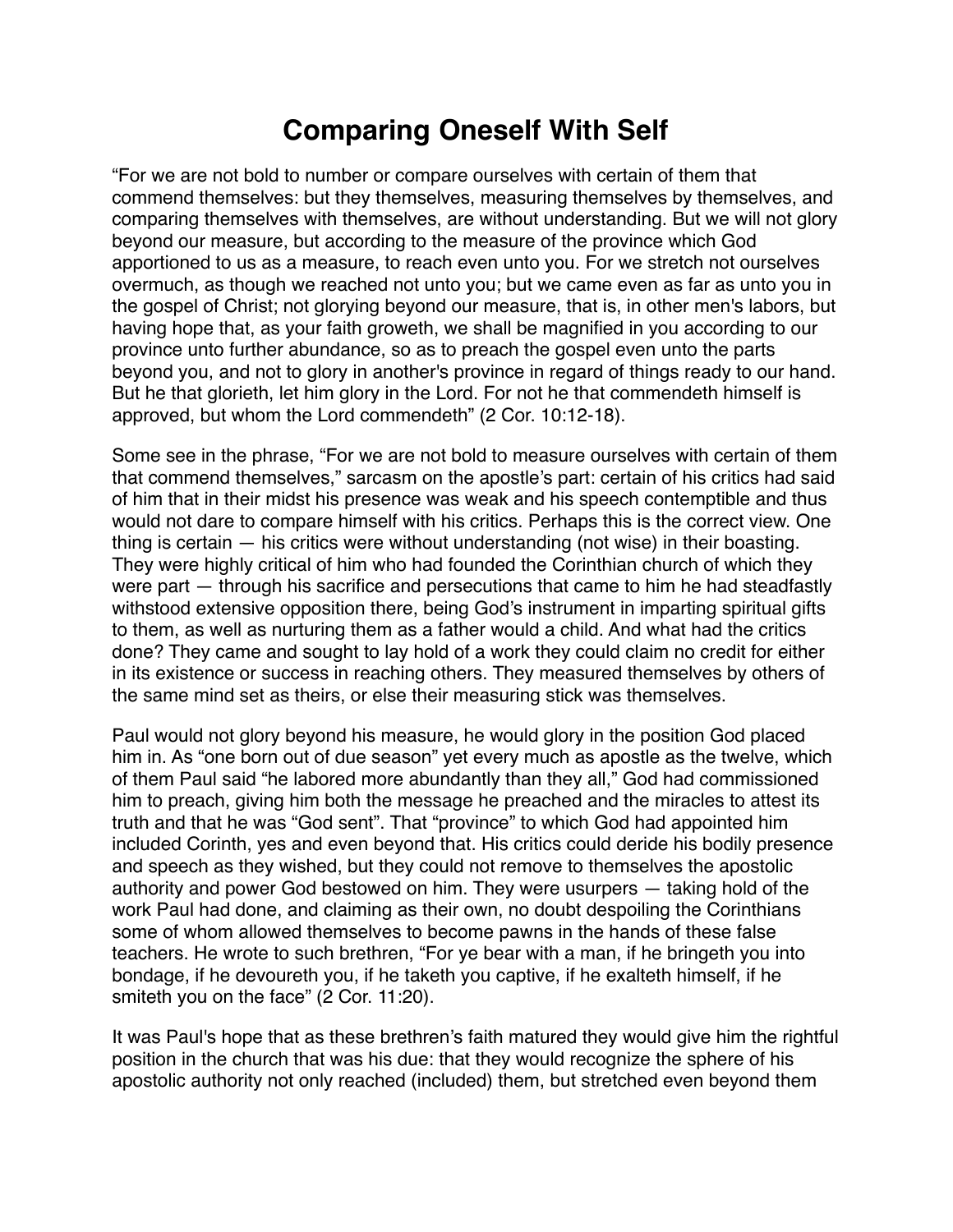## **Comparing Oneself With Self**

"For we are not bold to number or compare ourselves with certain of them that commend themselves: but they themselves, measuring themselves by themselves, and comparing themselves with themselves, are without understanding. But we will not glory beyond our measure, but according to the measure of the province which God apportioned to us as a measure, to reach even unto you. For we stretch not ourselves overmuch, as though we reached not unto you; but we came even as far as unto you in the gospel of Christ; not glorying beyond our measure, that is, in other men's labors, but having hope that, as your faith groweth, we shall be magnified in you according to our province unto further abundance, so as to preach the gospel even unto the parts beyond you, and not to glory in another's province in regard of things ready to our hand. But he that glorieth, let him glory in the Lord. For not he that commendeth himself is approved, but whom the Lord commendeth" (2 Cor. 10:12-18).

Some see in the phrase, "For we are not bold to measure ourselves with certain of them that commend themselves," sarcasm on the apostle's part: certain of his critics had said of him that in their midst his presence was weak and his speech contemptible and thus would not dare to compare himself with his critics. Perhaps this is the correct view. One thing is certain — his critics were without understanding (not wise) in their boasting. They were highly critical of him who had founded the Corinthian church of which they were part — through his sacrifice and persecutions that came to him he had steadfastly withstood extensive opposition there, being God's instrument in imparting spiritual gifts to them, as well as nurturing them as a father would a child. And what had the critics done? They came and sought to lay hold of a work they could claim no credit for either in its existence or success in reaching others. They measured themselves by others of the same mind set as theirs, or else their measuring stick was themselves.

Paul would not glory beyond his measure, he would glory in the position God placed him in. As "one born out of due season" yet every much as apostle as the twelve, which of them Paul said "he labored more abundantly than they all," God had commissioned him to preach, giving him both the message he preached and the miracles to attest its truth and that he was "God sent". That "province" to which God had appointed him included Corinth, yes and even beyond that. His critics could deride his bodily presence and speech as they wished, but they could not remove to themselves the apostolic authority and power God bestowed on him. They were usurpers — taking hold of the work Paul had done, and claiming as their own, no doubt despoiling the Corinthians some of whom allowed themselves to become pawns in the hands of these false teachers. He wrote to such brethren, "For ye bear with a man, if he bringeth you into bondage, if he devoureth you, if he taketh you captive, if he exalteth himself, if he smiteth you on the face" (2 Cor. 11:20).

It was Paul's hope that as these brethren's faith matured they would give him the rightful position in the church that was his due: that they would recognize the sphere of his apostolic authority not only reached (included) them, but stretched even beyond them